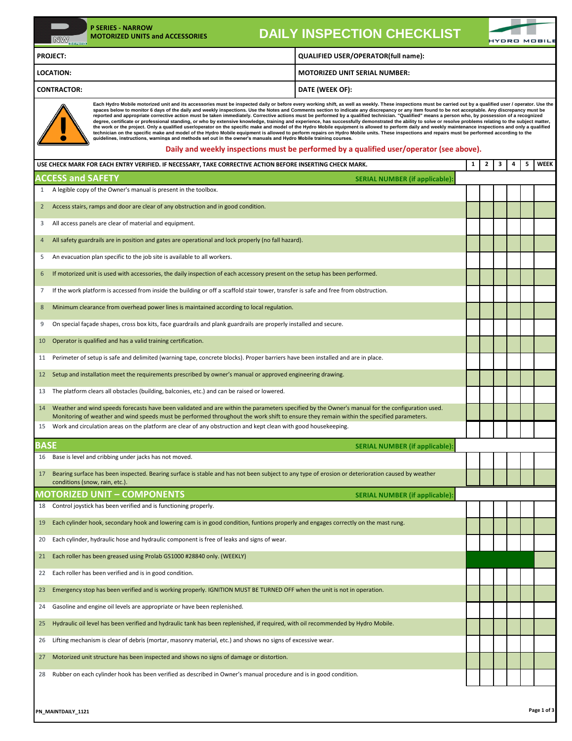| HYDRO MOBIL<br>$63 - 1153$<br><b>PROJECT:</b><br>QUALIFIED USER/OPERATOR(full name):<br><b>LOCATION:</b><br><b>MOTORIZED UNIT SERIAL NUMBER:</b><br>DATE (WEEK OF):<br><b>CONTRACTOR:</b><br>technician on the specific make and model of the Hydro Mobile equipment is allowed to perform repairs on Hydro Mobile units. These inspections and repairs must be performed according to the<br>guidelines, instructions, warnings and methods set out in the owner's manuals and Hydro Mobile training courses.<br>Daily and weekly inspections must be performed by a qualified user/operator (see above).<br>$\mathbf{1}$<br>$\mathbf{2}$<br>3<br>5<br>USE CHECK MARK FOR EACH ENTRY VERIFIED. IF NECESSARY, TAKE CORRECTIVE ACTION BEFORE INSERTING CHECK MARK.<br>4<br><b>ACCESS and SAFETY</b><br><b>SERIAL NUMBER (if applicable):</b><br>1 A legible copy of the Owner's manual is present in the toolbox.<br>Access stairs, ramps and door are clear of any obstruction and in good condition.<br>$\overline{2}$<br>All access panels are clear of material and equipment.<br>3<br>All safety guardrails are in position and gates are operational and lock properly (no fall hazard).<br>$\overline{4}$<br>An evacuation plan specific to the job site is available to all workers.<br>5<br>If motorized unit is used with accessories, the daily inspection of each accessory present on the setup has been performed.<br>6<br>If the work platform is accessed from inside the building or off a scaffold stair tower, transfer is safe and free from obstruction.<br>7<br>Minimum clearance from overhead power lines is maintained according to local regulation.<br>8<br>On special façade shapes, cross box kits, face guardrails and plank guardrails are properly installed and secure.<br>9<br>Operator is qualified and has a valid training certification.<br>10<br>Perimeter of setup is safe and delimited (warning tape, concrete blocks). Proper barriers have been installed and are in place.<br>11<br>Setup and installation meet the requirements prescribed by owner's manual or approved engineering drawing.<br>12<br>The platform clears all obstacles (building, balconies, etc.) and can be raised or lowered.<br>13<br>Weather and wind speeds forecasts have been validated and are within the parameters specified by the Owner's manual for the configuration used.<br>14<br>Monitoring of weather and wind speeds must be performed throughout the work shift to ensure they remain within the specified parameters.<br>Work and circulation areas on the platform are clear of any obstruction and kept clean with good housekeeping.<br><b>BASE</b><br><b>SERIAL NUMBER (if applicable)</b><br>Base is level and cribbing under jacks has not moved.<br>16<br>Bearing surface has been inspected. Bearing surface is stable and has not been subject to any type of erosion or deterioration caused by weather<br>17<br>conditions (snow, rain, etc.).<br><b>MOTORIZED UNIT - COMPONENTS</b><br><b>SERIAL NUMBER (if applicable):</b><br>Control joystick has been verified and is functioning properly.<br>18<br>Each cylinder hook, secondary hook and lowering cam is in good condition, funtions properly and engages correctly on the mast rung.<br>19<br>Each cylinder, hydraulic hose and hydraulic component is free of leaks and signs of wear.<br>20<br>Each roller has been greased using Prolab GS1000 #28840 only. (WEEKLY)<br>21<br>Each roller has been verified and is in good condition.<br>22<br>Emergency stop has been verified and is working properly. IGNITION MUST BE TURNED OFF when the unit is not in operation.<br>23<br>Gasoline and engine oil levels are appropriate or have been replenished.<br>24<br>Hydraulic oil level has been verified and hydraulic tank has been replenished, if required, with oil recommended by Hydro Mobile.<br>25<br>Lifting mechanism is clear of debris (mortar, masonry material, etc.) and shows no signs of excessive wear.<br>26<br>Motorized unit structure has been inspected and shows no signs of damage or distortion.<br>27 | <b>NW</b> | P SERIES - NARROW<br><b>MOTORIZED UNITS and ACCESSORIES</b>                                                                                                                                                                                                                                                                                                                                                                                                                                                                                                                                                                                                                                                                                                                                                                                                                                                                                                                                                                                           | <b>DAILY INSPECTION CHECKLIST</b> |  |  |  |  |  |             |
|----------------------------------------------------------------------------------------------------------------------------------------------------------------------------------------------------------------------------------------------------------------------------------------------------------------------------------------------------------------------------------------------------------------------------------------------------------------------------------------------------------------------------------------------------------------------------------------------------------------------------------------------------------------------------------------------------------------------------------------------------------------------------------------------------------------------------------------------------------------------------------------------------------------------------------------------------------------------------------------------------------------------------------------------------------------------------------------------------------------------------------------------------------------------------------------------------------------------------------------------------------------------------------------------------------------------------------------------------------------------------------------------------------------------------------------------------------------------------------------------------------------------------------------------------------------------------------------------------------------------------------------------------------------------------------------------------------------------------------------------------------------------------------------------------------------------------------------------------------------------------------------------------------------------------------------------------------------------------------------------------------------------------------------------------------------------------------------------------------------------------------------------------------------------------------------------------------------------------------------------------------------------------------------------------------------------------------------------------------------------------------------------------------------------------------------------------------------------------------------------------------------------------------------------------------------------------------------------------------------------------------------------------------------------------------------------------------------------------------------------------------------------------------------------------------------------------------------------------------------------------------------------------------------------------------------------------------------------------------------------------------------------------------------------------------------------------------------------------------------------------------------------------------------------------------------------------------------------------------------------------------------------------------------------------------------------------------------------------------------------------------------------------------------------------------------------------------------------------------------------------------------------------------------------------------------------------------------------------------------------------------------------------------------------------------------------------------------------------------------------------------------------------------------------------------------------------------------------------------------------------------------------------------------------------------------------------------------------------------------------------------------------------------------------------------------------------------------------------------------------------------------------|-----------|-------------------------------------------------------------------------------------------------------------------------------------------------------------------------------------------------------------------------------------------------------------------------------------------------------------------------------------------------------------------------------------------------------------------------------------------------------------------------------------------------------------------------------------------------------------------------------------------------------------------------------------------------------------------------------------------------------------------------------------------------------------------------------------------------------------------------------------------------------------------------------------------------------------------------------------------------------------------------------------------------------------------------------------------------------|-----------------------------------|--|--|--|--|--|-------------|
|                                                                                                                                                                                                                                                                                                                                                                                                                                                                                                                                                                                                                                                                                                                                                                                                                                                                                                                                                                                                                                                                                                                                                                                                                                                                                                                                                                                                                                                                                                                                                                                                                                                                                                                                                                                                                                                                                                                                                                                                                                                                                                                                                                                                                                                                                                                                                                                                                                                                                                                                                                                                                                                                                                                                                                                                                                                                                                                                                                                                                                                                                                                                                                                                                                                                                                                                                                                                                                                                                                                                                                                                                                                                                                                                                                                                                                                                                                                                                                                                                                                                                                                                              |           |                                                                                                                                                                                                                                                                                                                                                                                                                                                                                                                                                                                                                                                                                                                                                                                                                                                                                                                                                                                                                                                       |                                   |  |  |  |  |  |             |
|                                                                                                                                                                                                                                                                                                                                                                                                                                                                                                                                                                                                                                                                                                                                                                                                                                                                                                                                                                                                                                                                                                                                                                                                                                                                                                                                                                                                                                                                                                                                                                                                                                                                                                                                                                                                                                                                                                                                                                                                                                                                                                                                                                                                                                                                                                                                                                                                                                                                                                                                                                                                                                                                                                                                                                                                                                                                                                                                                                                                                                                                                                                                                                                                                                                                                                                                                                                                                                                                                                                                                                                                                                                                                                                                                                                                                                                                                                                                                                                                                                                                                                                                              |           |                                                                                                                                                                                                                                                                                                                                                                                                                                                                                                                                                                                                                                                                                                                                                                                                                                                                                                                                                                                                                                                       |                                   |  |  |  |  |  |             |
|                                                                                                                                                                                                                                                                                                                                                                                                                                                                                                                                                                                                                                                                                                                                                                                                                                                                                                                                                                                                                                                                                                                                                                                                                                                                                                                                                                                                                                                                                                                                                                                                                                                                                                                                                                                                                                                                                                                                                                                                                                                                                                                                                                                                                                                                                                                                                                                                                                                                                                                                                                                                                                                                                                                                                                                                                                                                                                                                                                                                                                                                                                                                                                                                                                                                                                                                                                                                                                                                                                                                                                                                                                                                                                                                                                                                                                                                                                                                                                                                                                                                                                                                              |           |                                                                                                                                                                                                                                                                                                                                                                                                                                                                                                                                                                                                                                                                                                                                                                                                                                                                                                                                                                                                                                                       |                                   |  |  |  |  |  |             |
|                                                                                                                                                                                                                                                                                                                                                                                                                                                                                                                                                                                                                                                                                                                                                                                                                                                                                                                                                                                                                                                                                                                                                                                                                                                                                                                                                                                                                                                                                                                                                                                                                                                                                                                                                                                                                                                                                                                                                                                                                                                                                                                                                                                                                                                                                                                                                                                                                                                                                                                                                                                                                                                                                                                                                                                                                                                                                                                                                                                                                                                                                                                                                                                                                                                                                                                                                                                                                                                                                                                                                                                                                                                                                                                                                                                                                                                                                                                                                                                                                                                                                                                                              |           |                                                                                                                                                                                                                                                                                                                                                                                                                                                                                                                                                                                                                                                                                                                                                                                                                                                                                                                                                                                                                                                       |                                   |  |  |  |  |  |             |
|                                                                                                                                                                                                                                                                                                                                                                                                                                                                                                                                                                                                                                                                                                                                                                                                                                                                                                                                                                                                                                                                                                                                                                                                                                                                                                                                                                                                                                                                                                                                                                                                                                                                                                                                                                                                                                                                                                                                                                                                                                                                                                                                                                                                                                                                                                                                                                                                                                                                                                                                                                                                                                                                                                                                                                                                                                                                                                                                                                                                                                                                                                                                                                                                                                                                                                                                                                                                                                                                                                                                                                                                                                                                                                                                                                                                                                                                                                                                                                                                                                                                                                                                              |           | Each Hydro Mobile motorized unit and its accessories must be inspected daily or before every working shift, as well as weekly. These inspections must be carried out by a qualified user / operator. Use the<br>spaces below to monitor 6 days of the daily and weekly inspections. Use the Notes and Comments section to indicate any discrepancy or any item found to be not acceptable. Any discrepancy must be<br>reported and appropriate corrective action must be taken immediately. Corrective actions must be performed by a qualified technician. "Qualified" means a person who, by possession of a recognized<br>degree, certificate or professional standing, or who by extensive knowledge, training and experience, has successfully demonstrated the ability to solve or resolve problems relating to the subject matter,<br>the work or the project. Only a qualified user/operator on the specific make and model of the Hydro Mobile equipment is allowed to perform daily and weekly maintenance inspections and only a qualified |                                   |  |  |  |  |  |             |
|                                                                                                                                                                                                                                                                                                                                                                                                                                                                                                                                                                                                                                                                                                                                                                                                                                                                                                                                                                                                                                                                                                                                                                                                                                                                                                                                                                                                                                                                                                                                                                                                                                                                                                                                                                                                                                                                                                                                                                                                                                                                                                                                                                                                                                                                                                                                                                                                                                                                                                                                                                                                                                                                                                                                                                                                                                                                                                                                                                                                                                                                                                                                                                                                                                                                                                                                                                                                                                                                                                                                                                                                                                                                                                                                                                                                                                                                                                                                                                                                                                                                                                                                              |           |                                                                                                                                                                                                                                                                                                                                                                                                                                                                                                                                                                                                                                                                                                                                                                                                                                                                                                                                                                                                                                                       |                                   |  |  |  |  |  | <b>WEEK</b> |
|                                                                                                                                                                                                                                                                                                                                                                                                                                                                                                                                                                                                                                                                                                                                                                                                                                                                                                                                                                                                                                                                                                                                                                                                                                                                                                                                                                                                                                                                                                                                                                                                                                                                                                                                                                                                                                                                                                                                                                                                                                                                                                                                                                                                                                                                                                                                                                                                                                                                                                                                                                                                                                                                                                                                                                                                                                                                                                                                                                                                                                                                                                                                                                                                                                                                                                                                                                                                                                                                                                                                                                                                                                                                                                                                                                                                                                                                                                                                                                                                                                                                                                                                              |           |                                                                                                                                                                                                                                                                                                                                                                                                                                                                                                                                                                                                                                                                                                                                                                                                                                                                                                                                                                                                                                                       |                                   |  |  |  |  |  |             |
|                                                                                                                                                                                                                                                                                                                                                                                                                                                                                                                                                                                                                                                                                                                                                                                                                                                                                                                                                                                                                                                                                                                                                                                                                                                                                                                                                                                                                                                                                                                                                                                                                                                                                                                                                                                                                                                                                                                                                                                                                                                                                                                                                                                                                                                                                                                                                                                                                                                                                                                                                                                                                                                                                                                                                                                                                                                                                                                                                                                                                                                                                                                                                                                                                                                                                                                                                                                                                                                                                                                                                                                                                                                                                                                                                                                                                                                                                                                                                                                                                                                                                                                                              |           |                                                                                                                                                                                                                                                                                                                                                                                                                                                                                                                                                                                                                                                                                                                                                                                                                                                                                                                                                                                                                                                       |                                   |  |  |  |  |  |             |
|                                                                                                                                                                                                                                                                                                                                                                                                                                                                                                                                                                                                                                                                                                                                                                                                                                                                                                                                                                                                                                                                                                                                                                                                                                                                                                                                                                                                                                                                                                                                                                                                                                                                                                                                                                                                                                                                                                                                                                                                                                                                                                                                                                                                                                                                                                                                                                                                                                                                                                                                                                                                                                                                                                                                                                                                                                                                                                                                                                                                                                                                                                                                                                                                                                                                                                                                                                                                                                                                                                                                                                                                                                                                                                                                                                                                                                                                                                                                                                                                                                                                                                                                              |           |                                                                                                                                                                                                                                                                                                                                                                                                                                                                                                                                                                                                                                                                                                                                                                                                                                                                                                                                                                                                                                                       |                                   |  |  |  |  |  |             |
|                                                                                                                                                                                                                                                                                                                                                                                                                                                                                                                                                                                                                                                                                                                                                                                                                                                                                                                                                                                                                                                                                                                                                                                                                                                                                                                                                                                                                                                                                                                                                                                                                                                                                                                                                                                                                                                                                                                                                                                                                                                                                                                                                                                                                                                                                                                                                                                                                                                                                                                                                                                                                                                                                                                                                                                                                                                                                                                                                                                                                                                                                                                                                                                                                                                                                                                                                                                                                                                                                                                                                                                                                                                                                                                                                                                                                                                                                                                                                                                                                                                                                                                                              |           |                                                                                                                                                                                                                                                                                                                                                                                                                                                                                                                                                                                                                                                                                                                                                                                                                                                                                                                                                                                                                                                       |                                   |  |  |  |  |  |             |
|                                                                                                                                                                                                                                                                                                                                                                                                                                                                                                                                                                                                                                                                                                                                                                                                                                                                                                                                                                                                                                                                                                                                                                                                                                                                                                                                                                                                                                                                                                                                                                                                                                                                                                                                                                                                                                                                                                                                                                                                                                                                                                                                                                                                                                                                                                                                                                                                                                                                                                                                                                                                                                                                                                                                                                                                                                                                                                                                                                                                                                                                                                                                                                                                                                                                                                                                                                                                                                                                                                                                                                                                                                                                                                                                                                                                                                                                                                                                                                                                                                                                                                                                              |           |                                                                                                                                                                                                                                                                                                                                                                                                                                                                                                                                                                                                                                                                                                                                                                                                                                                                                                                                                                                                                                                       |                                   |  |  |  |  |  |             |
|                                                                                                                                                                                                                                                                                                                                                                                                                                                                                                                                                                                                                                                                                                                                                                                                                                                                                                                                                                                                                                                                                                                                                                                                                                                                                                                                                                                                                                                                                                                                                                                                                                                                                                                                                                                                                                                                                                                                                                                                                                                                                                                                                                                                                                                                                                                                                                                                                                                                                                                                                                                                                                                                                                                                                                                                                                                                                                                                                                                                                                                                                                                                                                                                                                                                                                                                                                                                                                                                                                                                                                                                                                                                                                                                                                                                                                                                                                                                                                                                                                                                                                                                              |           |                                                                                                                                                                                                                                                                                                                                                                                                                                                                                                                                                                                                                                                                                                                                                                                                                                                                                                                                                                                                                                                       |                                   |  |  |  |  |  |             |
|                                                                                                                                                                                                                                                                                                                                                                                                                                                                                                                                                                                                                                                                                                                                                                                                                                                                                                                                                                                                                                                                                                                                                                                                                                                                                                                                                                                                                                                                                                                                                                                                                                                                                                                                                                                                                                                                                                                                                                                                                                                                                                                                                                                                                                                                                                                                                                                                                                                                                                                                                                                                                                                                                                                                                                                                                                                                                                                                                                                                                                                                                                                                                                                                                                                                                                                                                                                                                                                                                                                                                                                                                                                                                                                                                                                                                                                                                                                                                                                                                                                                                                                                              |           |                                                                                                                                                                                                                                                                                                                                                                                                                                                                                                                                                                                                                                                                                                                                                                                                                                                                                                                                                                                                                                                       |                                   |  |  |  |  |  |             |
|                                                                                                                                                                                                                                                                                                                                                                                                                                                                                                                                                                                                                                                                                                                                                                                                                                                                                                                                                                                                                                                                                                                                                                                                                                                                                                                                                                                                                                                                                                                                                                                                                                                                                                                                                                                                                                                                                                                                                                                                                                                                                                                                                                                                                                                                                                                                                                                                                                                                                                                                                                                                                                                                                                                                                                                                                                                                                                                                                                                                                                                                                                                                                                                                                                                                                                                                                                                                                                                                                                                                                                                                                                                                                                                                                                                                                                                                                                                                                                                                                                                                                                                                              |           |                                                                                                                                                                                                                                                                                                                                                                                                                                                                                                                                                                                                                                                                                                                                                                                                                                                                                                                                                                                                                                                       |                                   |  |  |  |  |  |             |
|                                                                                                                                                                                                                                                                                                                                                                                                                                                                                                                                                                                                                                                                                                                                                                                                                                                                                                                                                                                                                                                                                                                                                                                                                                                                                                                                                                                                                                                                                                                                                                                                                                                                                                                                                                                                                                                                                                                                                                                                                                                                                                                                                                                                                                                                                                                                                                                                                                                                                                                                                                                                                                                                                                                                                                                                                                                                                                                                                                                                                                                                                                                                                                                                                                                                                                                                                                                                                                                                                                                                                                                                                                                                                                                                                                                                                                                                                                                                                                                                                                                                                                                                              |           |                                                                                                                                                                                                                                                                                                                                                                                                                                                                                                                                                                                                                                                                                                                                                                                                                                                                                                                                                                                                                                                       |                                   |  |  |  |  |  |             |
|                                                                                                                                                                                                                                                                                                                                                                                                                                                                                                                                                                                                                                                                                                                                                                                                                                                                                                                                                                                                                                                                                                                                                                                                                                                                                                                                                                                                                                                                                                                                                                                                                                                                                                                                                                                                                                                                                                                                                                                                                                                                                                                                                                                                                                                                                                                                                                                                                                                                                                                                                                                                                                                                                                                                                                                                                                                                                                                                                                                                                                                                                                                                                                                                                                                                                                                                                                                                                                                                                                                                                                                                                                                                                                                                                                                                                                                                                                                                                                                                                                                                                                                                              |           |                                                                                                                                                                                                                                                                                                                                                                                                                                                                                                                                                                                                                                                                                                                                                                                                                                                                                                                                                                                                                                                       |                                   |  |  |  |  |  |             |
|                                                                                                                                                                                                                                                                                                                                                                                                                                                                                                                                                                                                                                                                                                                                                                                                                                                                                                                                                                                                                                                                                                                                                                                                                                                                                                                                                                                                                                                                                                                                                                                                                                                                                                                                                                                                                                                                                                                                                                                                                                                                                                                                                                                                                                                                                                                                                                                                                                                                                                                                                                                                                                                                                                                                                                                                                                                                                                                                                                                                                                                                                                                                                                                                                                                                                                                                                                                                                                                                                                                                                                                                                                                                                                                                                                                                                                                                                                                                                                                                                                                                                                                                              |           |                                                                                                                                                                                                                                                                                                                                                                                                                                                                                                                                                                                                                                                                                                                                                                                                                                                                                                                                                                                                                                                       |                                   |  |  |  |  |  |             |
|                                                                                                                                                                                                                                                                                                                                                                                                                                                                                                                                                                                                                                                                                                                                                                                                                                                                                                                                                                                                                                                                                                                                                                                                                                                                                                                                                                                                                                                                                                                                                                                                                                                                                                                                                                                                                                                                                                                                                                                                                                                                                                                                                                                                                                                                                                                                                                                                                                                                                                                                                                                                                                                                                                                                                                                                                                                                                                                                                                                                                                                                                                                                                                                                                                                                                                                                                                                                                                                                                                                                                                                                                                                                                                                                                                                                                                                                                                                                                                                                                                                                                                                                              |           |                                                                                                                                                                                                                                                                                                                                                                                                                                                                                                                                                                                                                                                                                                                                                                                                                                                                                                                                                                                                                                                       |                                   |  |  |  |  |  |             |
|                                                                                                                                                                                                                                                                                                                                                                                                                                                                                                                                                                                                                                                                                                                                                                                                                                                                                                                                                                                                                                                                                                                                                                                                                                                                                                                                                                                                                                                                                                                                                                                                                                                                                                                                                                                                                                                                                                                                                                                                                                                                                                                                                                                                                                                                                                                                                                                                                                                                                                                                                                                                                                                                                                                                                                                                                                                                                                                                                                                                                                                                                                                                                                                                                                                                                                                                                                                                                                                                                                                                                                                                                                                                                                                                                                                                                                                                                                                                                                                                                                                                                                                                              |           |                                                                                                                                                                                                                                                                                                                                                                                                                                                                                                                                                                                                                                                                                                                                                                                                                                                                                                                                                                                                                                                       |                                   |  |  |  |  |  |             |
|                                                                                                                                                                                                                                                                                                                                                                                                                                                                                                                                                                                                                                                                                                                                                                                                                                                                                                                                                                                                                                                                                                                                                                                                                                                                                                                                                                                                                                                                                                                                                                                                                                                                                                                                                                                                                                                                                                                                                                                                                                                                                                                                                                                                                                                                                                                                                                                                                                                                                                                                                                                                                                                                                                                                                                                                                                                                                                                                                                                                                                                                                                                                                                                                                                                                                                                                                                                                                                                                                                                                                                                                                                                                                                                                                                                                                                                                                                                                                                                                                                                                                                                                              |           |                                                                                                                                                                                                                                                                                                                                                                                                                                                                                                                                                                                                                                                                                                                                                                                                                                                                                                                                                                                                                                                       |                                   |  |  |  |  |  |             |
|                                                                                                                                                                                                                                                                                                                                                                                                                                                                                                                                                                                                                                                                                                                                                                                                                                                                                                                                                                                                                                                                                                                                                                                                                                                                                                                                                                                                                                                                                                                                                                                                                                                                                                                                                                                                                                                                                                                                                                                                                                                                                                                                                                                                                                                                                                                                                                                                                                                                                                                                                                                                                                                                                                                                                                                                                                                                                                                                                                                                                                                                                                                                                                                                                                                                                                                                                                                                                                                                                                                                                                                                                                                                                                                                                                                                                                                                                                                                                                                                                                                                                                                                              |           |                                                                                                                                                                                                                                                                                                                                                                                                                                                                                                                                                                                                                                                                                                                                                                                                                                                                                                                                                                                                                                                       |                                   |  |  |  |  |  |             |
|                                                                                                                                                                                                                                                                                                                                                                                                                                                                                                                                                                                                                                                                                                                                                                                                                                                                                                                                                                                                                                                                                                                                                                                                                                                                                                                                                                                                                                                                                                                                                                                                                                                                                                                                                                                                                                                                                                                                                                                                                                                                                                                                                                                                                                                                                                                                                                                                                                                                                                                                                                                                                                                                                                                                                                                                                                                                                                                                                                                                                                                                                                                                                                                                                                                                                                                                                                                                                                                                                                                                                                                                                                                                                                                                                                                                                                                                                                                                                                                                                                                                                                                                              |           |                                                                                                                                                                                                                                                                                                                                                                                                                                                                                                                                                                                                                                                                                                                                                                                                                                                                                                                                                                                                                                                       |                                   |  |  |  |  |  |             |
|                                                                                                                                                                                                                                                                                                                                                                                                                                                                                                                                                                                                                                                                                                                                                                                                                                                                                                                                                                                                                                                                                                                                                                                                                                                                                                                                                                                                                                                                                                                                                                                                                                                                                                                                                                                                                                                                                                                                                                                                                                                                                                                                                                                                                                                                                                                                                                                                                                                                                                                                                                                                                                                                                                                                                                                                                                                                                                                                                                                                                                                                                                                                                                                                                                                                                                                                                                                                                                                                                                                                                                                                                                                                                                                                                                                                                                                                                                                                                                                                                                                                                                                                              |           |                                                                                                                                                                                                                                                                                                                                                                                                                                                                                                                                                                                                                                                                                                                                                                                                                                                                                                                                                                                                                                                       |                                   |  |  |  |  |  |             |
|                                                                                                                                                                                                                                                                                                                                                                                                                                                                                                                                                                                                                                                                                                                                                                                                                                                                                                                                                                                                                                                                                                                                                                                                                                                                                                                                                                                                                                                                                                                                                                                                                                                                                                                                                                                                                                                                                                                                                                                                                                                                                                                                                                                                                                                                                                                                                                                                                                                                                                                                                                                                                                                                                                                                                                                                                                                                                                                                                                                                                                                                                                                                                                                                                                                                                                                                                                                                                                                                                                                                                                                                                                                                                                                                                                                                                                                                                                                                                                                                                                                                                                                                              |           |                                                                                                                                                                                                                                                                                                                                                                                                                                                                                                                                                                                                                                                                                                                                                                                                                                                                                                                                                                                                                                                       |                                   |  |  |  |  |  |             |
|                                                                                                                                                                                                                                                                                                                                                                                                                                                                                                                                                                                                                                                                                                                                                                                                                                                                                                                                                                                                                                                                                                                                                                                                                                                                                                                                                                                                                                                                                                                                                                                                                                                                                                                                                                                                                                                                                                                                                                                                                                                                                                                                                                                                                                                                                                                                                                                                                                                                                                                                                                                                                                                                                                                                                                                                                                                                                                                                                                                                                                                                                                                                                                                                                                                                                                                                                                                                                                                                                                                                                                                                                                                                                                                                                                                                                                                                                                                                                                                                                                                                                                                                              |           |                                                                                                                                                                                                                                                                                                                                                                                                                                                                                                                                                                                                                                                                                                                                                                                                                                                                                                                                                                                                                                                       |                                   |  |  |  |  |  |             |
|                                                                                                                                                                                                                                                                                                                                                                                                                                                                                                                                                                                                                                                                                                                                                                                                                                                                                                                                                                                                                                                                                                                                                                                                                                                                                                                                                                                                                                                                                                                                                                                                                                                                                                                                                                                                                                                                                                                                                                                                                                                                                                                                                                                                                                                                                                                                                                                                                                                                                                                                                                                                                                                                                                                                                                                                                                                                                                                                                                                                                                                                                                                                                                                                                                                                                                                                                                                                                                                                                                                                                                                                                                                                                                                                                                                                                                                                                                                                                                                                                                                                                                                                              |           |                                                                                                                                                                                                                                                                                                                                                                                                                                                                                                                                                                                                                                                                                                                                                                                                                                                                                                                                                                                                                                                       |                                   |  |  |  |  |  |             |
|                                                                                                                                                                                                                                                                                                                                                                                                                                                                                                                                                                                                                                                                                                                                                                                                                                                                                                                                                                                                                                                                                                                                                                                                                                                                                                                                                                                                                                                                                                                                                                                                                                                                                                                                                                                                                                                                                                                                                                                                                                                                                                                                                                                                                                                                                                                                                                                                                                                                                                                                                                                                                                                                                                                                                                                                                                                                                                                                                                                                                                                                                                                                                                                                                                                                                                                                                                                                                                                                                                                                                                                                                                                                                                                                                                                                                                                                                                                                                                                                                                                                                                                                              |           |                                                                                                                                                                                                                                                                                                                                                                                                                                                                                                                                                                                                                                                                                                                                                                                                                                                                                                                                                                                                                                                       |                                   |  |  |  |  |  |             |
|                                                                                                                                                                                                                                                                                                                                                                                                                                                                                                                                                                                                                                                                                                                                                                                                                                                                                                                                                                                                                                                                                                                                                                                                                                                                                                                                                                                                                                                                                                                                                                                                                                                                                                                                                                                                                                                                                                                                                                                                                                                                                                                                                                                                                                                                                                                                                                                                                                                                                                                                                                                                                                                                                                                                                                                                                                                                                                                                                                                                                                                                                                                                                                                                                                                                                                                                                                                                                                                                                                                                                                                                                                                                                                                                                                                                                                                                                                                                                                                                                                                                                                                                              |           |                                                                                                                                                                                                                                                                                                                                                                                                                                                                                                                                                                                                                                                                                                                                                                                                                                                                                                                                                                                                                                                       |                                   |  |  |  |  |  |             |
|                                                                                                                                                                                                                                                                                                                                                                                                                                                                                                                                                                                                                                                                                                                                                                                                                                                                                                                                                                                                                                                                                                                                                                                                                                                                                                                                                                                                                                                                                                                                                                                                                                                                                                                                                                                                                                                                                                                                                                                                                                                                                                                                                                                                                                                                                                                                                                                                                                                                                                                                                                                                                                                                                                                                                                                                                                                                                                                                                                                                                                                                                                                                                                                                                                                                                                                                                                                                                                                                                                                                                                                                                                                                                                                                                                                                                                                                                                                                                                                                                                                                                                                                              |           |                                                                                                                                                                                                                                                                                                                                                                                                                                                                                                                                                                                                                                                                                                                                                                                                                                                                                                                                                                                                                                                       |                                   |  |  |  |  |  |             |
|                                                                                                                                                                                                                                                                                                                                                                                                                                                                                                                                                                                                                                                                                                                                                                                                                                                                                                                                                                                                                                                                                                                                                                                                                                                                                                                                                                                                                                                                                                                                                                                                                                                                                                                                                                                                                                                                                                                                                                                                                                                                                                                                                                                                                                                                                                                                                                                                                                                                                                                                                                                                                                                                                                                                                                                                                                                                                                                                                                                                                                                                                                                                                                                                                                                                                                                                                                                                                                                                                                                                                                                                                                                                                                                                                                                                                                                                                                                                                                                                                                                                                                                                              |           |                                                                                                                                                                                                                                                                                                                                                                                                                                                                                                                                                                                                                                                                                                                                                                                                                                                                                                                                                                                                                                                       |                                   |  |  |  |  |  |             |
|                                                                                                                                                                                                                                                                                                                                                                                                                                                                                                                                                                                                                                                                                                                                                                                                                                                                                                                                                                                                                                                                                                                                                                                                                                                                                                                                                                                                                                                                                                                                                                                                                                                                                                                                                                                                                                                                                                                                                                                                                                                                                                                                                                                                                                                                                                                                                                                                                                                                                                                                                                                                                                                                                                                                                                                                                                                                                                                                                                                                                                                                                                                                                                                                                                                                                                                                                                                                                                                                                                                                                                                                                                                                                                                                                                                                                                                                                                                                                                                                                                                                                                                                              |           |                                                                                                                                                                                                                                                                                                                                                                                                                                                                                                                                                                                                                                                                                                                                                                                                                                                                                                                                                                                                                                                       |                                   |  |  |  |  |  |             |
|                                                                                                                                                                                                                                                                                                                                                                                                                                                                                                                                                                                                                                                                                                                                                                                                                                                                                                                                                                                                                                                                                                                                                                                                                                                                                                                                                                                                                                                                                                                                                                                                                                                                                                                                                                                                                                                                                                                                                                                                                                                                                                                                                                                                                                                                                                                                                                                                                                                                                                                                                                                                                                                                                                                                                                                                                                                                                                                                                                                                                                                                                                                                                                                                                                                                                                                                                                                                                                                                                                                                                                                                                                                                                                                                                                                                                                                                                                                                                                                                                                                                                                                                              |           |                                                                                                                                                                                                                                                                                                                                                                                                                                                                                                                                                                                                                                                                                                                                                                                                                                                                                                                                                                                                                                                       |                                   |  |  |  |  |  |             |
|                                                                                                                                                                                                                                                                                                                                                                                                                                                                                                                                                                                                                                                                                                                                                                                                                                                                                                                                                                                                                                                                                                                                                                                                                                                                                                                                                                                                                                                                                                                                                                                                                                                                                                                                                                                                                                                                                                                                                                                                                                                                                                                                                                                                                                                                                                                                                                                                                                                                                                                                                                                                                                                                                                                                                                                                                                                                                                                                                                                                                                                                                                                                                                                                                                                                                                                                                                                                                                                                                                                                                                                                                                                                                                                                                                                                                                                                                                                                                                                                                                                                                                                                              |           |                                                                                                                                                                                                                                                                                                                                                                                                                                                                                                                                                                                                                                                                                                                                                                                                                                                                                                                                                                                                                                                       |                                   |  |  |  |  |  |             |
|                                                                                                                                                                                                                                                                                                                                                                                                                                                                                                                                                                                                                                                                                                                                                                                                                                                                                                                                                                                                                                                                                                                                                                                                                                                                                                                                                                                                                                                                                                                                                                                                                                                                                                                                                                                                                                                                                                                                                                                                                                                                                                                                                                                                                                                                                                                                                                                                                                                                                                                                                                                                                                                                                                                                                                                                                                                                                                                                                                                                                                                                                                                                                                                                                                                                                                                                                                                                                                                                                                                                                                                                                                                                                                                                                                                                                                                                                                                                                                                                                                                                                                                                              |           |                                                                                                                                                                                                                                                                                                                                                                                                                                                                                                                                                                                                                                                                                                                                                                                                                                                                                                                                                                                                                                                       |                                   |  |  |  |  |  |             |
|                                                                                                                                                                                                                                                                                                                                                                                                                                                                                                                                                                                                                                                                                                                                                                                                                                                                                                                                                                                                                                                                                                                                                                                                                                                                                                                                                                                                                                                                                                                                                                                                                                                                                                                                                                                                                                                                                                                                                                                                                                                                                                                                                                                                                                                                                                                                                                                                                                                                                                                                                                                                                                                                                                                                                                                                                                                                                                                                                                                                                                                                                                                                                                                                                                                                                                                                                                                                                                                                                                                                                                                                                                                                                                                                                                                                                                                                                                                                                                                                                                                                                                                                              |           |                                                                                                                                                                                                                                                                                                                                                                                                                                                                                                                                                                                                                                                                                                                                                                                                                                                                                                                                                                                                                                                       |                                   |  |  |  |  |  |             |
|                                                                                                                                                                                                                                                                                                                                                                                                                                                                                                                                                                                                                                                                                                                                                                                                                                                                                                                                                                                                                                                                                                                                                                                                                                                                                                                                                                                                                                                                                                                                                                                                                                                                                                                                                                                                                                                                                                                                                                                                                                                                                                                                                                                                                                                                                                                                                                                                                                                                                                                                                                                                                                                                                                                                                                                                                                                                                                                                                                                                                                                                                                                                                                                                                                                                                                                                                                                                                                                                                                                                                                                                                                                                                                                                                                                                                                                                                                                                                                                                                                                                                                                                              |           |                                                                                                                                                                                                                                                                                                                                                                                                                                                                                                                                                                                                                                                                                                                                                                                                                                                                                                                                                                                                                                                       |                                   |  |  |  |  |  |             |
|                                                                                                                                                                                                                                                                                                                                                                                                                                                                                                                                                                                                                                                                                                                                                                                                                                                                                                                                                                                                                                                                                                                                                                                                                                                                                                                                                                                                                                                                                                                                                                                                                                                                                                                                                                                                                                                                                                                                                                                                                                                                                                                                                                                                                                                                                                                                                                                                                                                                                                                                                                                                                                                                                                                                                                                                                                                                                                                                                                                                                                                                                                                                                                                                                                                                                                                                                                                                                                                                                                                                                                                                                                                                                                                                                                                                                                                                                                                                                                                                                                                                                                                                              |           |                                                                                                                                                                                                                                                                                                                                                                                                                                                                                                                                                                                                                                                                                                                                                                                                                                                                                                                                                                                                                                                       |                                   |  |  |  |  |  |             |
| Rubber on each cylinder hook has been verified as described in Owner's manual procedure and is in good condition.<br>28                                                                                                                                                                                                                                                                                                                                                                                                                                                                                                                                                                                                                                                                                                                                                                                                                                                                                                                                                                                                                                                                                                                                                                                                                                                                                                                                                                                                                                                                                                                                                                                                                                                                                                                                                                                                                                                                                                                                                                                                                                                                                                                                                                                                                                                                                                                                                                                                                                                                                                                                                                                                                                                                                                                                                                                                                                                                                                                                                                                                                                                                                                                                                                                                                                                                                                                                                                                                                                                                                                                                                                                                                                                                                                                                                                                                                                                                                                                                                                                                                      |           |                                                                                                                                                                                                                                                                                                                                                                                                                                                                                                                                                                                                                                                                                                                                                                                                                                                                                                                                                                                                                                                       |                                   |  |  |  |  |  |             |
|                                                                                                                                                                                                                                                                                                                                                                                                                                                                                                                                                                                                                                                                                                                                                                                                                                                                                                                                                                                                                                                                                                                                                                                                                                                                                                                                                                                                                                                                                                                                                                                                                                                                                                                                                                                                                                                                                                                                                                                                                                                                                                                                                                                                                                                                                                                                                                                                                                                                                                                                                                                                                                                                                                                                                                                                                                                                                                                                                                                                                                                                                                                                                                                                                                                                                                                                                                                                                                                                                                                                                                                                                                                                                                                                                                                                                                                                                                                                                                                                                                                                                                                                              |           |                                                                                                                                                                                                                                                                                                                                                                                                                                                                                                                                                                                                                                                                                                                                                                                                                                                                                                                                                                                                                                                       |                                   |  |  |  |  |  |             |

| PN_MAINTDAILY_1121 | Page 1 of 3 |
|--------------------|-------------|
|--------------------|-------------|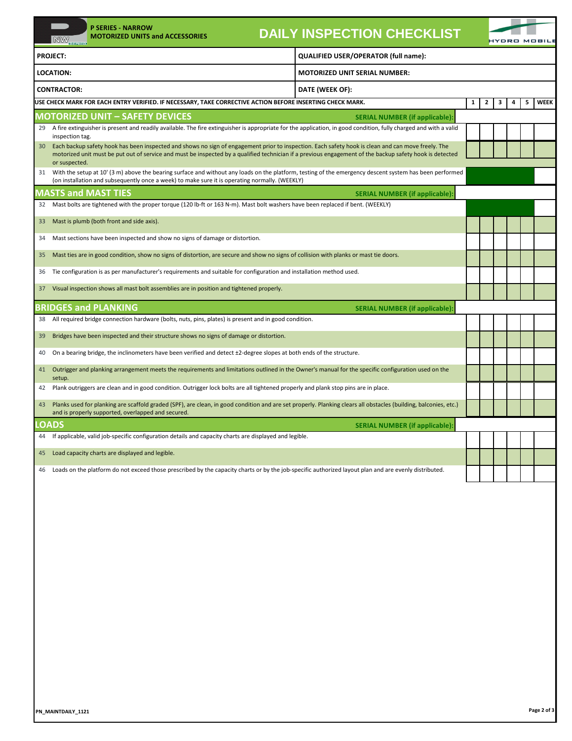| NW                                                                                                                                        | <b>P SERIES - NARROW</b><br><b>MOTORIZED UNITS and ACCESSORIES</b><br><b>SERIES</b>                                                                                                                                                                                                                                                | <b>DAILY INSPECTION CHECKLIST</b>     |  |  |  | <b>IYDRO MOBIL</b> |   |             |
|-------------------------------------------------------------------------------------------------------------------------------------------|------------------------------------------------------------------------------------------------------------------------------------------------------------------------------------------------------------------------------------------------------------------------------------------------------------------------------------|---------------------------------------|--|--|--|--------------------|---|-------------|
| <b>PROJECT:</b>                                                                                                                           |                                                                                                                                                                                                                                                                                                                                    | QUALIFIED USER/OPERATOR (full name):  |  |  |  |                    |   |             |
| <b>LOCATION:</b><br><b>MOTORIZED UNIT SERIAL NUMBER:</b>                                                                                  |                                                                                                                                                                                                                                                                                                                                    |                                       |  |  |  |                    |   |             |
| <b>CONTRACTOR:</b><br>DATE (WEEK OF):                                                                                                     |                                                                                                                                                                                                                                                                                                                                    |                                       |  |  |  |                    |   |             |
|                                                                                                                                           | USE CHECK MARK FOR EACH ENTRY VERIFIED. IF NECESSARY, TAKE CORRECTIVE ACTION BEFORE INSERTING CHECK MARK.<br>1                                                                                                                                                                                                                     |                                       |  |  |  | 4                  | 5 | <b>WEEK</b> |
|                                                                                                                                           | MOTORIZED UNIT – SAFETY DEVICES                                                                                                                                                                                                                                                                                                    | <b>SERIAL NUMBER (if applicable):</b> |  |  |  |                    |   |             |
|                                                                                                                                           | 29 A fire extinguisher is present and readily available. The fire extinguisher is appropriate for the application, in good condition, fully charged and with a valid<br>inspection tag.                                                                                                                                            |                                       |  |  |  |                    |   |             |
|                                                                                                                                           | 30 Each backup safety hook has been inspected and shows no sign of engagement prior to inspection. Each safety hook is clean and can move freely. The<br>motorized unit must be put out of service and must be inspected by a qualified technician if a previous engagement of the backup safety hook is detected<br>or suspected. |                                       |  |  |  |                    |   |             |
| 31                                                                                                                                        | With the setup at 10' (3 m) above the bearing surface and without any loads on the platform, testing of the emergency descent system has been performed<br>(on installation and subsequently once a week) to make sure it is operating normally. (WEEKLY)                                                                          |                                       |  |  |  |                    |   |             |
|                                                                                                                                           | <b>MASTS and MAST TIES</b>                                                                                                                                                                                                                                                                                                         | <b>SERIAL NUMBER (if applicable):</b> |  |  |  |                    |   |             |
| 32                                                                                                                                        | Mast bolts are tightened with the proper torque (120 lb-ft or 163 N-m). Mast bolt washers have been replaced if bent. (WEEKLY)                                                                                                                                                                                                     |                                       |  |  |  |                    |   |             |
| 33                                                                                                                                        | Mast is plumb (both front and side axis).                                                                                                                                                                                                                                                                                          |                                       |  |  |  |                    |   |             |
| 34                                                                                                                                        | Mast sections have been inspected and show no signs of damage or distortion.                                                                                                                                                                                                                                                       |                                       |  |  |  |                    |   |             |
| 35                                                                                                                                        | Mast ties are in good condition, show no signs of distortion, are secure and show no signs of collision with planks or mast tie doors.                                                                                                                                                                                             |                                       |  |  |  |                    |   |             |
| 36                                                                                                                                        | Tie configuration is as per manufacturer's requirements and suitable for configuration and installation method used.                                                                                                                                                                                                               |                                       |  |  |  |                    |   |             |
| 37                                                                                                                                        | Visual inspection shows all mast bolt assemblies are in position and tightened properly.                                                                                                                                                                                                                                           |                                       |  |  |  |                    |   |             |
|                                                                                                                                           |                                                                                                                                                                                                                                                                                                                                    |                                       |  |  |  |                    |   |             |
| 38                                                                                                                                        | <b>BRIDGES and PLANKING</b><br>All required bridge connection hardware (bolts, nuts, pins, plates) is present and in good condition.                                                                                                                                                                                               | <b>SERIAL NUMBER (if applicable):</b> |  |  |  |                    |   |             |
| 39                                                                                                                                        |                                                                                                                                                                                                                                                                                                                                    |                                       |  |  |  |                    |   |             |
|                                                                                                                                           | Bridges have been inspected and their structure shows no signs of damage or distortion.                                                                                                                                                                                                                                            |                                       |  |  |  |                    |   |             |
| 40                                                                                                                                        | On a bearing bridge, the inclinometers have been verified and detect ±2-degree slopes at both ends of the structure.                                                                                                                                                                                                               |                                       |  |  |  |                    |   |             |
| 41<br>setup.                                                                                                                              | Outrigger and planking arrangement meets the requirements and limitations outlined in the Owner's manual for the specific configuration used on the                                                                                                                                                                                |                                       |  |  |  |                    |   |             |
| Plank outriggers are clean and in good condition. Outrigger lock bolts are all tightened properly and plank stop pins are in place.<br>42 |                                                                                                                                                                                                                                                                                                                                    |                                       |  |  |  |                    |   |             |
| 43                                                                                                                                        | Planks used for planking are scaffold graded (SPF), are clean, in good condition and are set properly. Planking clears all obstacles (building, balconies, etc.)<br>and is properly supported, overlapped and secured.                                                                                                             |                                       |  |  |  |                    |   |             |
| LOADS                                                                                                                                     | 44 If applicable, valid job-specific configuration details and capacity charts are displayed and legible.                                                                                                                                                                                                                          | <b>SERIAL NUMBER (if applicable):</b> |  |  |  |                    |   |             |
|                                                                                                                                           |                                                                                                                                                                                                                                                                                                                                    |                                       |  |  |  |                    |   |             |
| 45                                                                                                                                        | Load capacity charts are displayed and legible.                                                                                                                                                                                                                                                                                    |                                       |  |  |  |                    |   |             |
| 46                                                                                                                                        | Loads on the platform do not exceed those prescribed by the capacity charts or by the job-specific authorized layout plan and are evenly distributed.                                                                                                                                                                              |                                       |  |  |  |                    |   |             |
|                                                                                                                                           |                                                                                                                                                                                                                                                                                                                                    |                                       |  |  |  |                    |   |             |